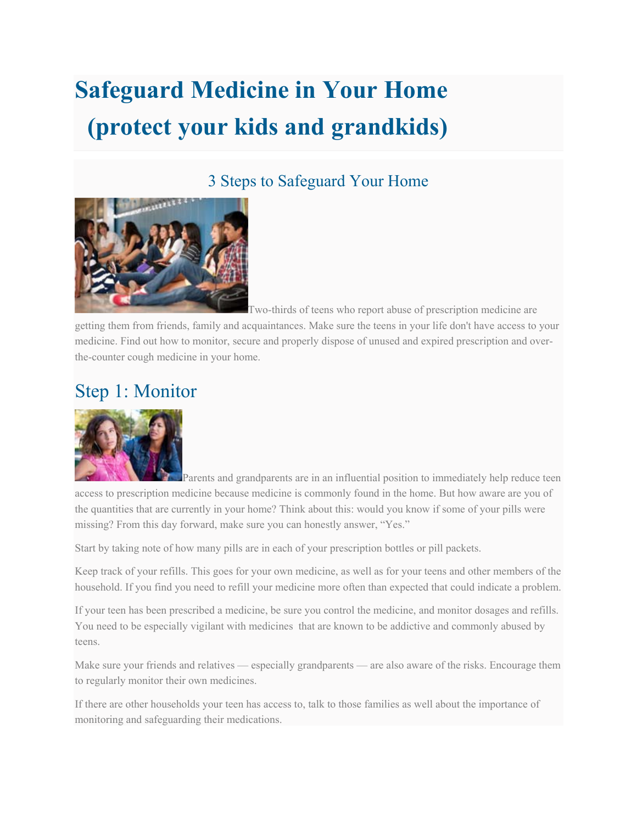# **Safeguard Medicine in Your Home (protect your kids and grandkids)**

#### 3 Steps to Safeguard Your Home



Two-thirds of teens who report abuse of prescription medicine are

getting them from friends, family and acquaintances. Make sure the teens in your life don't have access to your medicine. Find out how to monitor, secure and properly dispose of unused and expired prescription and overthe-counter cough medicine in your home.

## Step 1: Monitor



Parents and grandparents are in an influential position to immediately help reduce teen access to prescription medicine because medicine is commonly found in the home. But how aware are you of the quantities that are currently in your home? Think about this: would you know if some of your pills were missing? From this day forward, make sure you can honestly answer, "Yes."

Start by taking note of how many pills are in each of your prescription bottles or pill packets.

Keep track of your refills. This goes for your own medicine, as well as for your teens and other members of the household. If you find you need to refill your medicine more often than expected that could indicate a problem.

If your teen has been prescribed a medicine, be sure you control the medicine, and monitor dosages and refills. You need to be especially vigilant with medicines that are known to be addictive and commonly abused by teens.

Make sure your friends and relatives — especially grandparents — are also aware of the risks. Encourage them to regularly monitor their own medicines.

If there are other households your teen has access to, talk to those families as well about the importance of monitoring and safeguarding their medications.